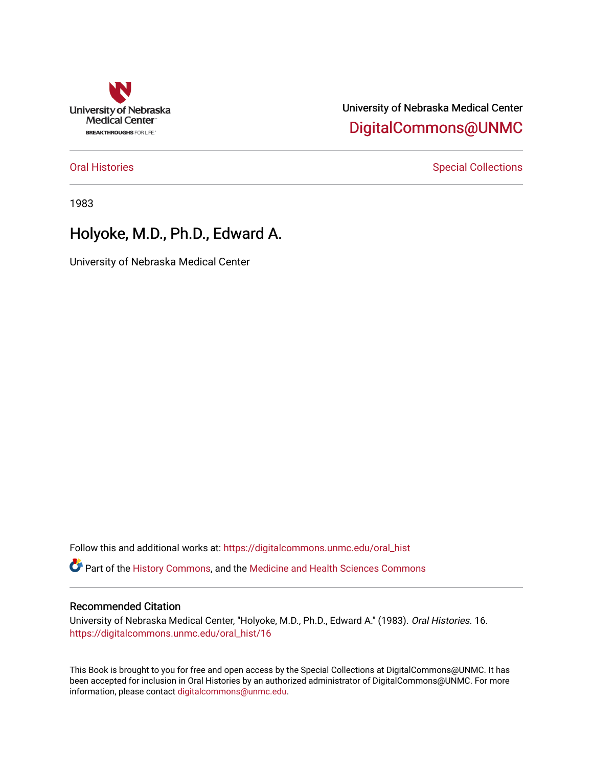

University of Nebraska Medical Center [DigitalCommons@UNMC](https://digitalcommons.unmc.edu/) 

[Oral Histories](https://digitalcommons.unmc.edu/oral_hist) **Special Collections** Special Collections

1983

# Holyoke, M.D., Ph.D., Edward A.

University of Nebraska Medical Center

Follow this and additional works at: [https://digitalcommons.unmc.edu/oral\\_hist](https://digitalcommons.unmc.edu/oral_hist?utm_source=digitalcommons.unmc.edu%2Foral_hist%2F16&utm_medium=PDF&utm_campaign=PDFCoverPages) 

Part of the [History Commons,](http://network.bepress.com/hgg/discipline/489?utm_source=digitalcommons.unmc.edu%2Foral_hist%2F16&utm_medium=PDF&utm_campaign=PDFCoverPages) and the [Medicine and Health Sciences Commons](http://network.bepress.com/hgg/discipline/648?utm_source=digitalcommons.unmc.edu%2Foral_hist%2F16&utm_medium=PDF&utm_campaign=PDFCoverPages) 

#### Recommended Citation

University of Nebraska Medical Center, "Holyoke, M.D., Ph.D., Edward A." (1983). Oral Histories. 16. [https://digitalcommons.unmc.edu/oral\\_hist/16](https://digitalcommons.unmc.edu/oral_hist/16?utm_source=digitalcommons.unmc.edu%2Foral_hist%2F16&utm_medium=PDF&utm_campaign=PDFCoverPages)

This Book is brought to you for free and open access by the Special Collections at DigitalCommons@UNMC. It has been accepted for inclusion in Oral Histories by an authorized administrator of DigitalCommons@UNMC. For more information, please contact [digitalcommons@unmc.edu](mailto:digitalcommons@unmc.edu).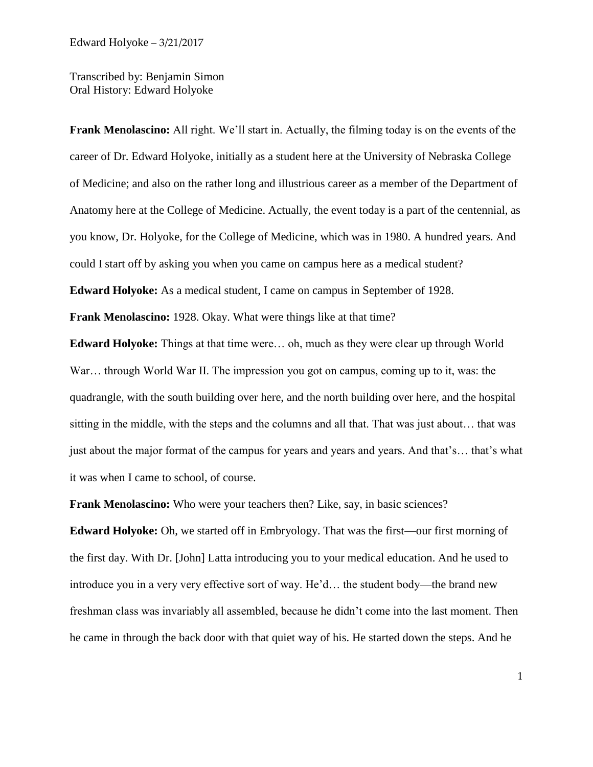Transcribed by: Benjamin Simon Oral History: Edward Holyoke

**Frank Menolascino:** All right. We'll start in. Actually, the filming today is on the events of the career of Dr. Edward Holyoke, initially as a student here at the University of Nebraska College of Medicine; and also on the rather long and illustrious career as a member of the Department of Anatomy here at the College of Medicine. Actually, the event today is a part of the centennial, as you know, Dr. Holyoke, for the College of Medicine, which was in 1980. A hundred years. And could I start off by asking you when you came on campus here as a medical student? **Edward Holyoke:** As a medical student, I came on campus in September of 1928.

**Frank Menolascino:** 1928. Okay. What were things like at that time?

**Edward Holyoke:** Things at that time were… oh, much as they were clear up through World War... through World War II. The impression you got on campus, coming up to it, was: the quadrangle, with the south building over here, and the north building over here, and the hospital sitting in the middle, with the steps and the columns and all that. That was just about… that was just about the major format of the campus for years and years and years. And that's… that's what it was when I came to school, of course.

**Frank Menolascino:** Who were your teachers then? Like, say, in basic sciences?

**Edward Holyoke:** Oh, we started off in Embryology. That was the first—our first morning of the first day. With Dr. [John] Latta introducing you to your medical education. And he used to introduce you in a very very effective sort of way. He'd… the student body—the brand new freshman class was invariably all assembled, because he didn't come into the last moment. Then he came in through the back door with that quiet way of his. He started down the steps. And he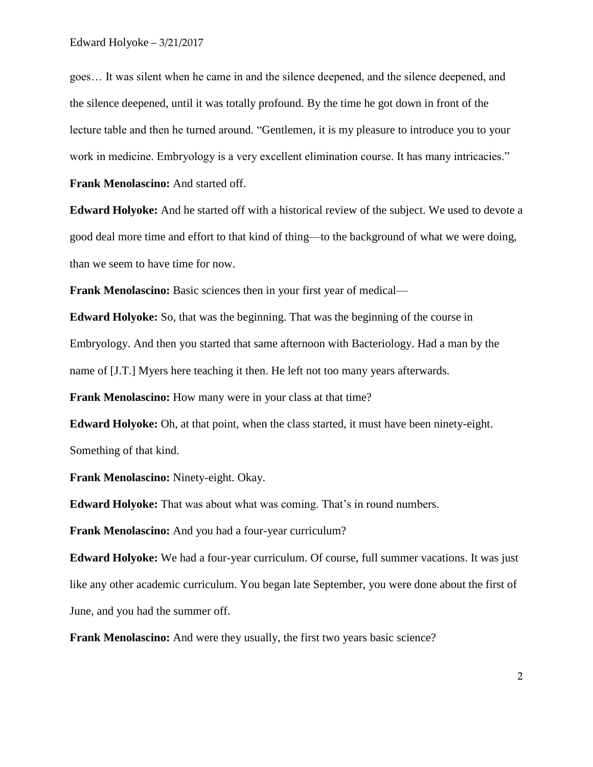goes… It was silent when he came in and the silence deepened, and the silence deepened, and the silence deepened, until it was totally profound. By the time he got down in front of the lecture table and then he turned around. "Gentlemen, it is my pleasure to introduce you to your work in medicine. Embryology is a very excellent elimination course. It has many intricacies."

**Frank Menolascino:** And started off.

**Edward Holyoke:** And he started off with a historical review of the subject. We used to devote a good deal more time and effort to that kind of thing—to the background of what we were doing, than we seem to have time for now.

**Frank Menolascino:** Basic sciences then in your first year of medical—

**Edward Holyoke:** So, that was the beginning. That was the beginning of the course in Embryology. And then you started that same afternoon with Bacteriology. Had a man by the name of [J.T.] Myers here teaching it then. He left not too many years afterwards.

**Frank Menolascino:** How many were in your class at that time?

**Edward Holyoke:** Oh, at that point, when the class started, it must have been ninety-eight. Something of that kind.

**Frank Menolascino:** Ninety-eight. Okay.

**Edward Holyoke:** That was about what was coming. That's in round numbers.

**Frank Menolascino:** And you had a four-year curriculum?

**Edward Holyoke:** We had a four-year curriculum. Of course, full summer vacations. It was just like any other academic curriculum. You began late September, you were done about the first of June, and you had the summer off.

**Frank Menolascino:** And were they usually, the first two years basic science?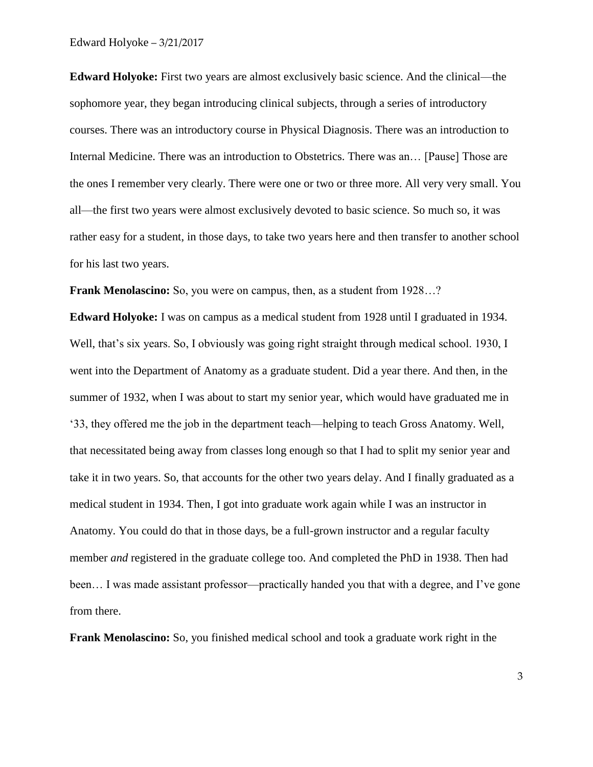**Edward Holyoke:** First two years are almost exclusively basic science. And the clinical—the sophomore year, they began introducing clinical subjects, through a series of introductory courses. There was an introductory course in Physical Diagnosis. There was an introduction to Internal Medicine. There was an introduction to Obstetrics. There was an… [Pause] Those are the ones I remember very clearly. There were one or two or three more. All very very small. You all—the first two years were almost exclusively devoted to basic science. So much so, it was rather easy for a student, in those days, to take two years here and then transfer to another school for his last two years.

**Frank Menolascino:** So, you were on campus, then, as a student from 1928...?

**Edward Holyoke:** I was on campus as a medical student from 1928 until I graduated in 1934. Well, that's six years. So, I obviously was going right straight through medical school. 1930, I went into the Department of Anatomy as a graduate student. Did a year there. And then, in the summer of 1932, when I was about to start my senior year, which would have graduated me in '33, they offered me the job in the department teach—helping to teach Gross Anatomy. Well, that necessitated being away from classes long enough so that I had to split my senior year and take it in two years. So, that accounts for the other two years delay. And I finally graduated as a medical student in 1934. Then, I got into graduate work again while I was an instructor in Anatomy. You could do that in those days, be a full-grown instructor and a regular faculty member *and* registered in the graduate college too. And completed the PhD in 1938. Then had been… I was made assistant professor—practically handed you that with a degree, and I've gone from there.

**Frank Menolascino:** So, you finished medical school and took a graduate work right in the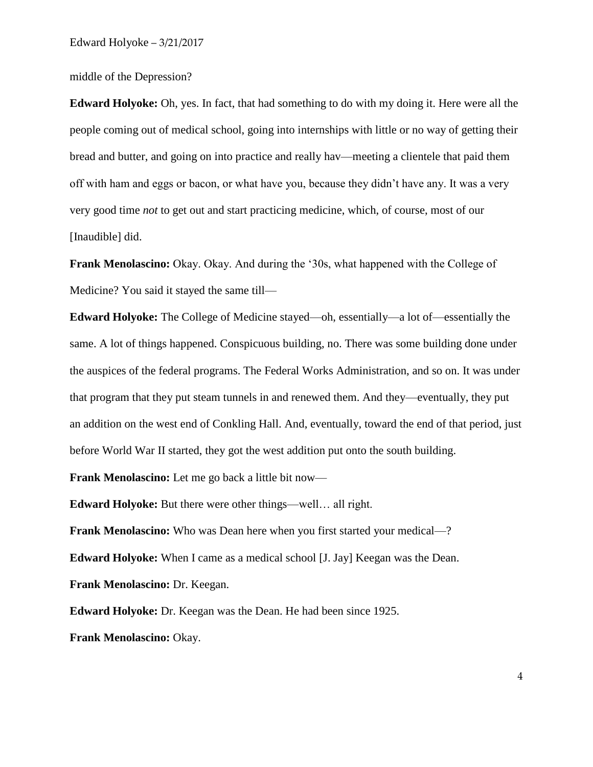middle of the Depression?

**Edward Holyoke:** Oh, yes. In fact, that had something to do with my doing it. Here were all the people coming out of medical school, going into internships with little or no way of getting their bread and butter, and going on into practice and really hav—meeting a clientele that paid them off with ham and eggs or bacon, or what have you, because they didn't have any. It was a very very good time *not* to get out and start practicing medicine, which, of course, most of our [Inaudible] did.

**Frank Menolascino:** Okay. Okay. And during the '30s, what happened with the College of Medicine? You said it stayed the same till—

**Edward Holyoke:** The College of Medicine stayed—oh, essentially—a lot of—essentially the same. A lot of things happened. Conspicuous building, no. There was some building done under the auspices of the federal programs. The Federal Works Administration, and so on. It was under that program that they put steam tunnels in and renewed them. And they—eventually, they put an addition on the west end of Conkling Hall. And, eventually, toward the end of that period, just before World War II started, they got the west addition put onto the south building.

**Frank Menolascino:** Let me go back a little bit now—

**Edward Holyoke:** But there were other things—well… all right.

**Frank Menolascino:** Who was Dean here when you first started your medical—? **Edward Holyoke:** When I came as a medical school [J. Jay] Keegan was the Dean. **Frank Menolascino:** Dr. Keegan.

**Edward Holyoke:** Dr. Keegan was the Dean. He had been since 1925.

**Frank Menolascino:** Okay.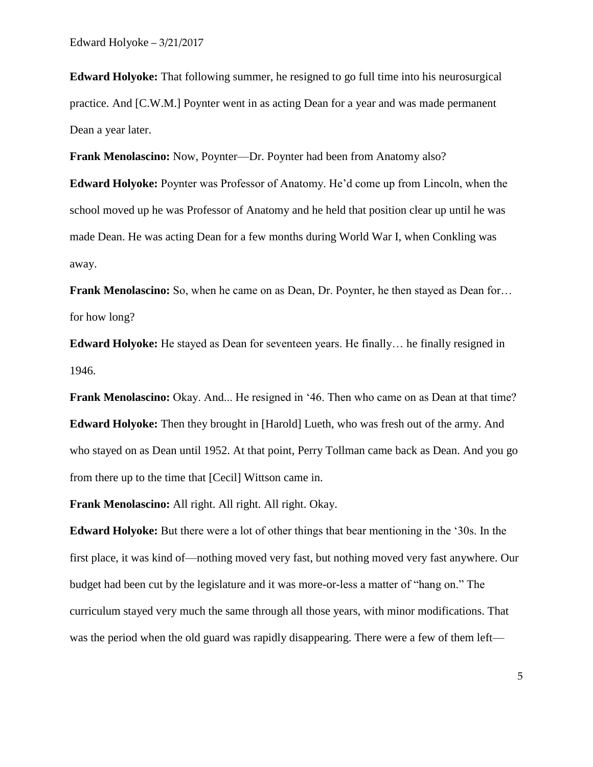**Edward Holyoke:** That following summer, he resigned to go full time into his neurosurgical practice. And [C.W.M.] Poynter went in as acting Dean for a year and was made permanent Dean a year later.

**Frank Menolascino:** Now, Poynter—Dr. Poynter had been from Anatomy also?

**Edward Holyoke:** Poynter was Professor of Anatomy. He'd come up from Lincoln, when the school moved up he was Professor of Anatomy and he held that position clear up until he was made Dean. He was acting Dean for a few months during World War I, when Conkling was away.

**Frank Menolascino:** So, when he came on as Dean, Dr. Poynter, he then stayed as Dean for... for how long?

**Edward Holyoke:** He stayed as Dean for seventeen years. He finally… he finally resigned in 1946.

**Frank Menolascino:** Okay. And... He resigned in '46. Then who came on as Dean at that time? **Edward Holyoke:** Then they brought in [Harold] Lueth, who was fresh out of the army. And who stayed on as Dean until 1952. At that point, Perry Tollman came back as Dean. And you go from there up to the time that [Cecil] Wittson came in.

**Frank Menolascino:** All right. All right. All right. Okay.

**Edward Holyoke:** But there were a lot of other things that bear mentioning in the '30s. In the first place, it was kind of—nothing moved very fast, but nothing moved very fast anywhere. Our budget had been cut by the legislature and it was more-or-less a matter of "hang on." The curriculum stayed very much the same through all those years, with minor modifications. That was the period when the old guard was rapidly disappearing. There were a few of them left—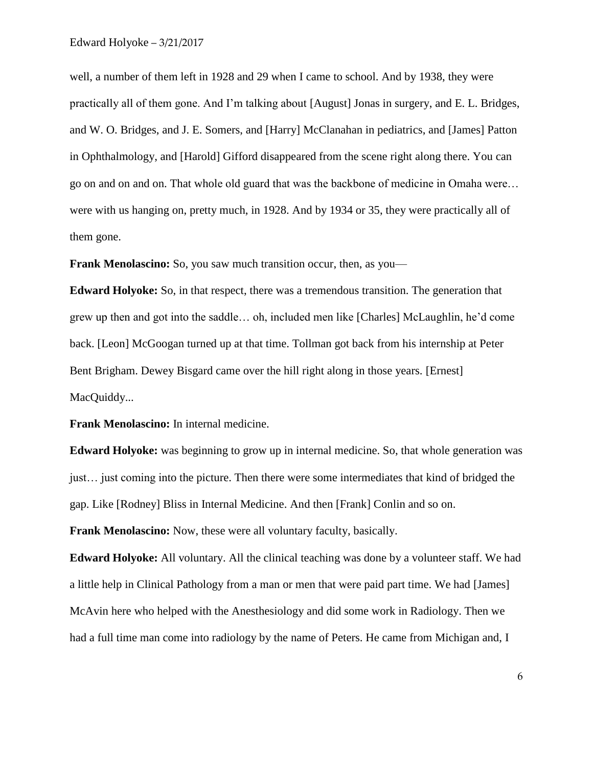well, a number of them left in 1928 and 29 when I came to school. And by 1938, they were practically all of them gone. And I'm talking about [August] Jonas in surgery, and E. L. Bridges, and W. O. Bridges, and J. E. Somers, and [Harry] McClanahan in pediatrics, and [James] Patton in Ophthalmology, and [Harold] Gifford disappeared from the scene right along there. You can go on and on and on. That whole old guard that was the backbone of medicine in Omaha were… were with us hanging on, pretty much, in 1928. And by 1934 or 35, they were practically all of them gone.

**Frank Menolascino:** So, you saw much transition occur, then, as you—

**Edward Holyoke:** So, in that respect, there was a tremendous transition. The generation that grew up then and got into the saddle… oh, included men like [Charles] McLaughlin, he'd come back. [Leon] McGoogan turned up at that time. Tollman got back from his internship at Peter Bent Brigham. Dewey Bisgard came over the hill right along in those years. [Ernest] MacQuiddy...

**Frank Menolascino:** In internal medicine.

**Edward Holyoke:** was beginning to grow up in internal medicine. So, that whole generation was just… just coming into the picture. Then there were some intermediates that kind of bridged the gap. Like [Rodney] Bliss in Internal Medicine. And then [Frank] Conlin and so on.

**Frank Menolascino:** Now, these were all voluntary faculty, basically.

**Edward Holyoke:** All voluntary. All the clinical teaching was done by a volunteer staff. We had a little help in Clinical Pathology from a man or men that were paid part time. We had [James] McAvin here who helped with the Anesthesiology and did some work in Radiology. Then we had a full time man come into radiology by the name of Peters. He came from Michigan and, I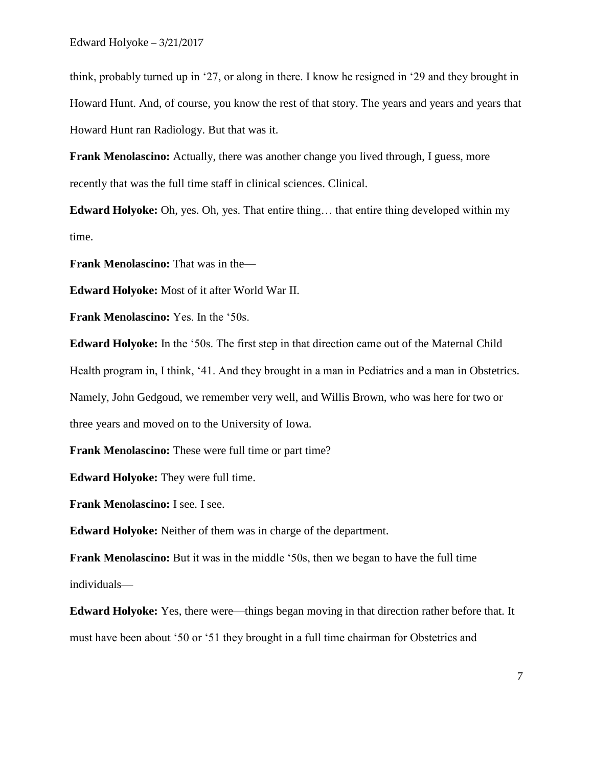think, probably turned up in '27, or along in there. I know he resigned in '29 and they brought in Howard Hunt. And, of course, you know the rest of that story. The years and years and years that Howard Hunt ran Radiology. But that was it.

**Frank Menolascino:** Actually, there was another change you lived through, I guess, more recently that was the full time staff in clinical sciences. Clinical.

**Edward Holyoke:** Oh, yes. Oh, yes. That entire thing... that entire thing developed within my time.

**Frank Menolascino:** That was in the—

**Edward Holyoke:** Most of it after World War II.

**Frank Menolascino:** Yes. In the '50s.

**Edward Holyoke:** In the '50s. The first step in that direction came out of the Maternal Child Health program in, I think, '41. And they brought in a man in Pediatrics and a man in Obstetrics. Namely, John Gedgoud, we remember very well, and Willis Brown, who was here for two or three years and moved on to the University of Iowa.

**Frank Menolascino:** These were full time or part time?

**Edward Holyoke:** They were full time.

**Frank Menolascino:** I see. I see.

**Edward Holyoke:** Neither of them was in charge of the department.

**Frank Menolascino:** But it was in the middle '50s, then we began to have the full time individuals—

**Edward Holyoke:** Yes, there were—things began moving in that direction rather before that. It must have been about '50 or '51 they brought in a full time chairman for Obstetrics and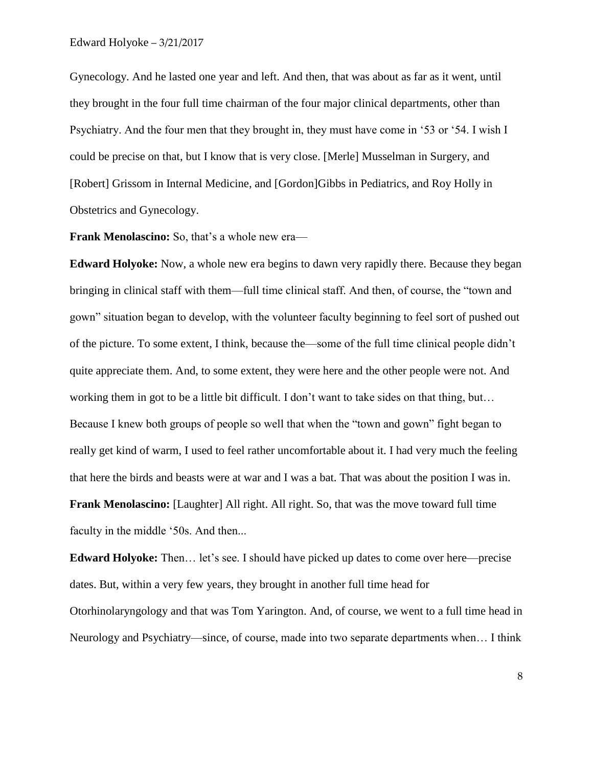Gynecology. And he lasted one year and left. And then, that was about as far as it went, until they brought in the four full time chairman of the four major clinical departments, other than Psychiatry. And the four men that they brought in, they must have come in '53 or '54. I wish I could be precise on that, but I know that is very close. [Merle] Musselman in Surgery, and [Robert] Grissom in Internal Medicine, and [Gordon]Gibbs in Pediatrics, and Roy Holly in Obstetrics and Gynecology.

**Frank Menolascino:** So, that's a whole new era—

**Edward Holyoke:** Now, a whole new era begins to dawn very rapidly there. Because they began bringing in clinical staff with them—full time clinical staff. And then, of course, the "town and gown" situation began to develop, with the volunteer faculty beginning to feel sort of pushed out of the picture. To some extent, I think, because the—some of the full time clinical people didn't quite appreciate them. And, to some extent, they were here and the other people were not. And working them in got to be a little bit difficult. I don't want to take sides on that thing, but… Because I knew both groups of people so well that when the "town and gown" fight began to really get kind of warm, I used to feel rather uncomfortable about it. I had very much the feeling that here the birds and beasts were at war and I was a bat. That was about the position I was in. **Frank Menolascino:** [Laughter] All right. All right. So, that was the move toward full time faculty in the middle '50s. And then...

**Edward Holyoke:** Then… let's see. I should have picked up dates to come over here—precise dates. But, within a very few years, they brought in another full time head for Otorhinolaryngology and that was Tom Yarington. And, of course, we went to a full time head in Neurology and Psychiatry—since, of course, made into two separate departments when… I think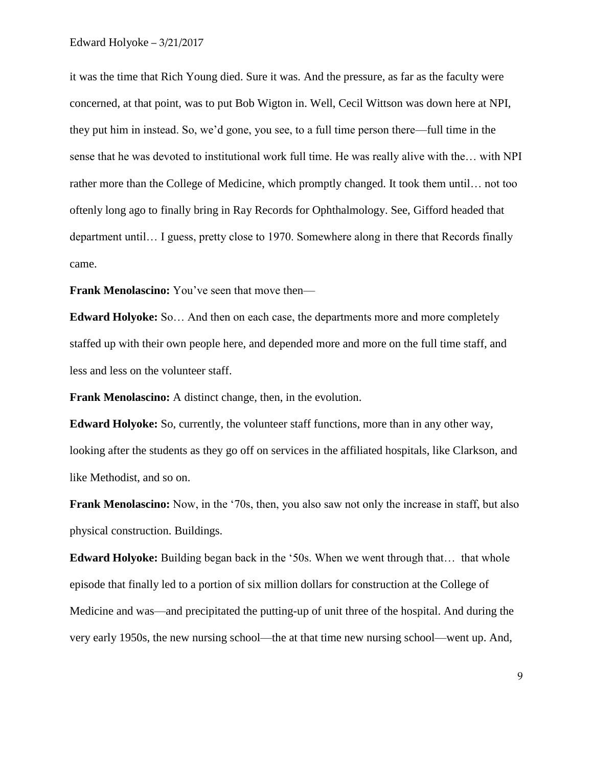it was the time that Rich Young died. Sure it was. And the pressure, as far as the faculty were concerned, at that point, was to put Bob Wigton in. Well, Cecil Wittson was down here at NPI, they put him in instead. So, we'd gone, you see, to a full time person there—full time in the sense that he was devoted to institutional work full time. He was really alive with the… with NPI rather more than the College of Medicine, which promptly changed. It took them until… not too oftenly long ago to finally bring in Ray Records for Ophthalmology. See, Gifford headed that department until… I guess, pretty close to 1970. Somewhere along in there that Records finally came.

**Frank Menolascino:** You've seen that move then—

**Edward Holyoke:** So… And then on each case, the departments more and more completely staffed up with their own people here, and depended more and more on the full time staff, and less and less on the volunteer staff.

**Frank Menolascino:** A distinct change, then, in the evolution.

**Edward Holyoke:** So, currently, the volunteer staff functions, more than in any other way, looking after the students as they go off on services in the affiliated hospitals, like Clarkson, and like Methodist, and so on.

**Frank Menolascino:** Now, in the '70s, then, you also saw not only the increase in staff, but also physical construction. Buildings.

**Edward Holyoke:** Building began back in the '50s. When we went through that... that whole episode that finally led to a portion of six million dollars for construction at the College of Medicine and was—and precipitated the putting-up of unit three of the hospital. And during the very early 1950s, the new nursing school—the at that time new nursing school—went up. And,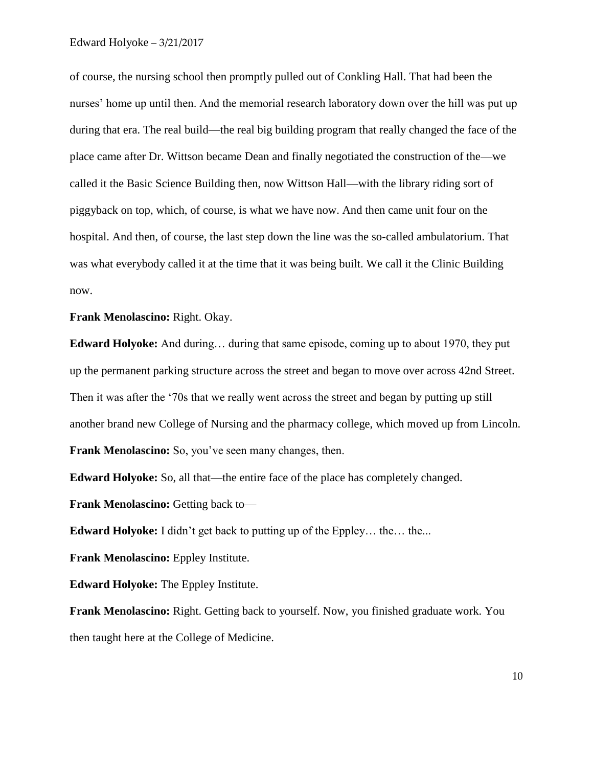of course, the nursing school then promptly pulled out of Conkling Hall. That had been the nurses' home up until then. And the memorial research laboratory down over the hill was put up during that era. The real build—the real big building program that really changed the face of the place came after Dr. Wittson became Dean and finally negotiated the construction of the—we called it the Basic Science Building then, now Wittson Hall—with the library riding sort of piggyback on top, which, of course, is what we have now. And then came unit four on the hospital. And then, of course, the last step down the line was the so-called ambulatorium. That was what everybody called it at the time that it was being built. We call it the Clinic Building now.

#### **Frank Menolascino:** Right. Okay.

**Edward Holyoke:** And during… during that same episode, coming up to about 1970, they put up the permanent parking structure across the street and began to move over across 42nd Street. Then it was after the '70s that we really went across the street and began by putting up still another brand new College of Nursing and the pharmacy college, which moved up from Lincoln. **Frank Menolascino:** So, you've seen many changes, then.

**Edward Holyoke:** So, all that—the entire face of the place has completely changed.

**Frank Menolascino:** Getting back to—

**Edward Holyoke:** I didn't get back to putting up of the Eppley... the... the...

**Frank Menolascino:** Eppley Institute.

**Edward Holyoke:** The Eppley Institute.

**Frank Menolascino:** Right. Getting back to yourself. Now, you finished graduate work. You then taught here at the College of Medicine.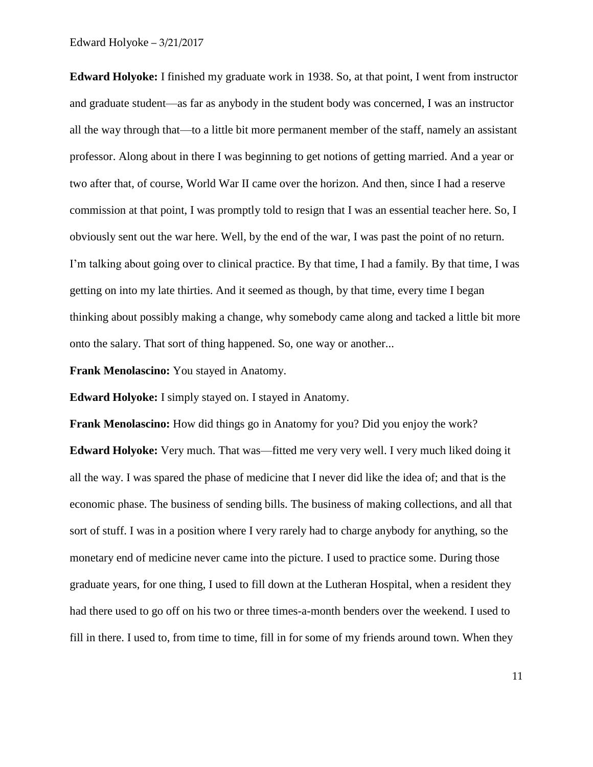**Edward Holyoke:** I finished my graduate work in 1938. So, at that point, I went from instructor and graduate student—as far as anybody in the student body was concerned, I was an instructor all the way through that—to a little bit more permanent member of the staff, namely an assistant professor. Along about in there I was beginning to get notions of getting married. And a year or two after that, of course, World War II came over the horizon. And then, since I had a reserve commission at that point, I was promptly told to resign that I was an essential teacher here. So, I obviously sent out the war here. Well, by the end of the war, I was past the point of no return. I'm talking about going over to clinical practice. By that time, I had a family. By that time, I was getting on into my late thirties. And it seemed as though, by that time, every time I began thinking about possibly making a change, why somebody came along and tacked a little bit more onto the salary. That sort of thing happened. So, one way or another...

**Frank Menolascino:** You stayed in Anatomy.

**Edward Holyoke:** I simply stayed on. I stayed in Anatomy.

**Frank Menolascino:** How did things go in Anatomy for you? Did you enjoy the work? **Edward Holyoke:** Very much. That was—fitted me very very well. I very much liked doing it all the way. I was spared the phase of medicine that I never did like the idea of; and that is the economic phase. The business of sending bills. The business of making collections, and all that sort of stuff. I was in a position where I very rarely had to charge anybody for anything, so the monetary end of medicine never came into the picture. I used to practice some. During those graduate years, for one thing, I used to fill down at the Lutheran Hospital, when a resident they had there used to go off on his two or three times-a-month benders over the weekend. I used to fill in there. I used to, from time to time, fill in for some of my friends around town. When they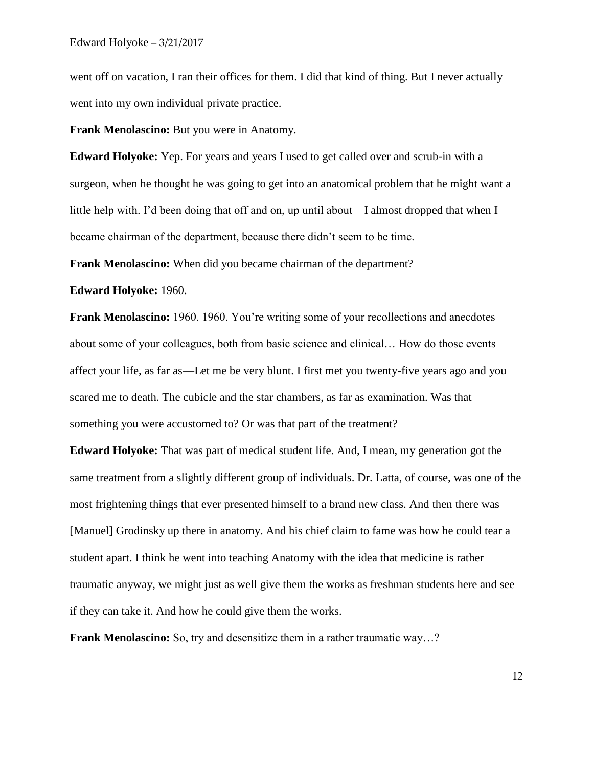went off on vacation, I ran their offices for them. I did that kind of thing. But I never actually went into my own individual private practice.

**Frank Menolascino:** But you were in Anatomy.

**Edward Holyoke:** Yep. For years and years I used to get called over and scrub-in with a surgeon, when he thought he was going to get into an anatomical problem that he might want a little help with. I'd been doing that off and on, up until about—I almost dropped that when I became chairman of the department, because there didn't seem to be time.

**Frank Menolascino:** When did you became chairman of the department?

**Edward Holyoke:** 1960.

**Frank Menolascino:** 1960. 1960. You're writing some of your recollections and anecdotes about some of your colleagues, both from basic science and clinical… How do those events affect your life, as far as—Let me be very blunt. I first met you twenty-five years ago and you scared me to death. The cubicle and the star chambers, as far as examination. Was that something you were accustomed to? Or was that part of the treatment?

**Edward Holyoke:** That was part of medical student life. And, I mean, my generation got the same treatment from a slightly different group of individuals. Dr. Latta, of course, was one of the most frightening things that ever presented himself to a brand new class. And then there was [Manuel] Grodinsky up there in anatomy. And his chief claim to fame was how he could tear a student apart. I think he went into teaching Anatomy with the idea that medicine is rather traumatic anyway, we might just as well give them the works as freshman students here and see if they can take it. And how he could give them the works.

**Frank Menolascino:** So, try and desensitize them in a rather traumatic way...?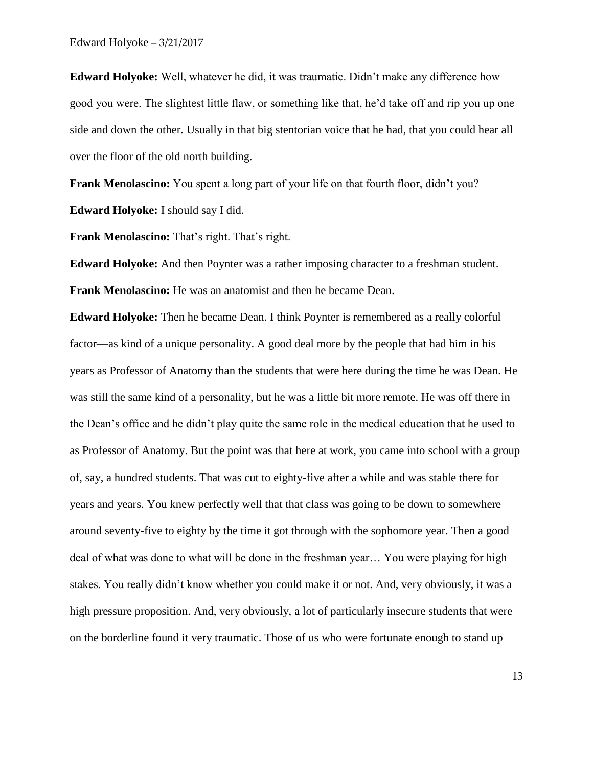**Edward Holyoke:** Well, whatever he did, it was traumatic. Didn't make any difference how good you were. The slightest little flaw, or something like that, he'd take off and rip you up one side and down the other. Usually in that big stentorian voice that he had, that you could hear all over the floor of the old north building.

**Frank Menolascino:** You spent a long part of your life on that fourth floor, didn't you? **Edward Holyoke:** I should say I did.

**Frank Menolascino:** That's right. That's right.

**Edward Holyoke:** And then Poynter was a rather imposing character to a freshman student. **Frank Menolascino:** He was an anatomist and then he became Dean.

**Edward Holyoke:** Then he became Dean. I think Poynter is remembered as a really colorful factor—as kind of a unique personality. A good deal more by the people that had him in his years as Professor of Anatomy than the students that were here during the time he was Dean. He was still the same kind of a personality, but he was a little bit more remote. He was off there in the Dean's office and he didn't play quite the same role in the medical education that he used to as Professor of Anatomy. But the point was that here at work, you came into school with a group of, say, a hundred students. That was cut to eighty-five after a while and was stable there for years and years. You knew perfectly well that that class was going to be down to somewhere around seventy-five to eighty by the time it got through with the sophomore year. Then a good deal of what was done to what will be done in the freshman year… You were playing for high stakes. You really didn't know whether you could make it or not. And, very obviously, it was a high pressure proposition. And, very obviously, a lot of particularly insecure students that were on the borderline found it very traumatic. Those of us who were fortunate enough to stand up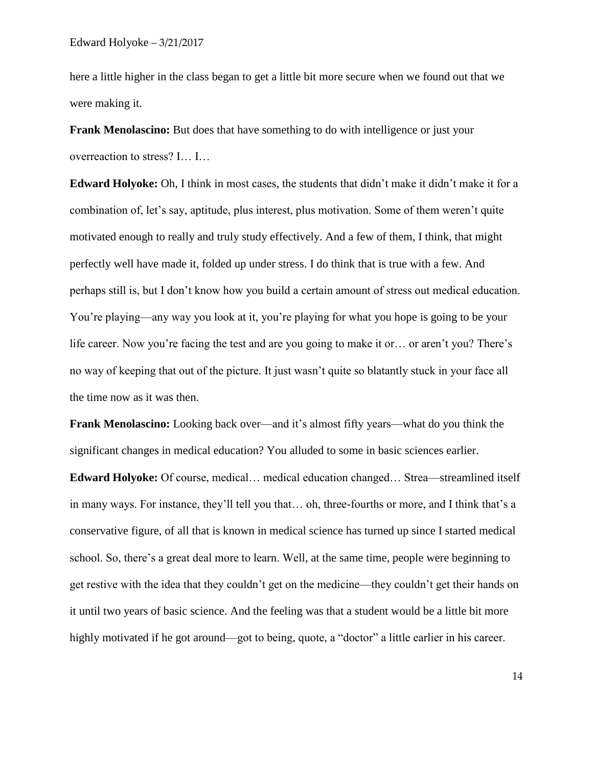here a little higher in the class began to get a little bit more secure when we found out that we were making it.

**Frank Menolascino:** But does that have something to do with intelligence or just your overreaction to stress? I… I…

**Edward Holyoke:** Oh, I think in most cases, the students that didn't make it didn't make it for a combination of, let's say, aptitude, plus interest, plus motivation. Some of them weren't quite motivated enough to really and truly study effectively. And a few of them, I think, that might perfectly well have made it, folded up under stress. I do think that is true with a few. And perhaps still is, but I don't know how you build a certain amount of stress out medical education. You're playing—any way you look at it, you're playing for what you hope is going to be your life career. Now you're facing the test and are you going to make it or… or aren't you? There's no way of keeping that out of the picture. It just wasn't quite so blatantly stuck in your face all the time now as it was then.

**Frank Menolascino:** Looking back over—and it's almost fifty years—what do you think the significant changes in medical education? You alluded to some in basic sciences earlier.

**Edward Holyoke:** Of course, medical… medical education changed… Strea—streamlined itself in many ways. For instance, they'll tell you that… oh, three-fourths or more, and I think that's a conservative figure, of all that is known in medical science has turned up since I started medical school. So, there's a great deal more to learn. Well, at the same time, people were beginning to get restive with the idea that they couldn't get on the medicine—they couldn't get their hands on it until two years of basic science. And the feeling was that a student would be a little bit more highly motivated if he got around—got to being, quote, a "doctor" a little earlier in his career.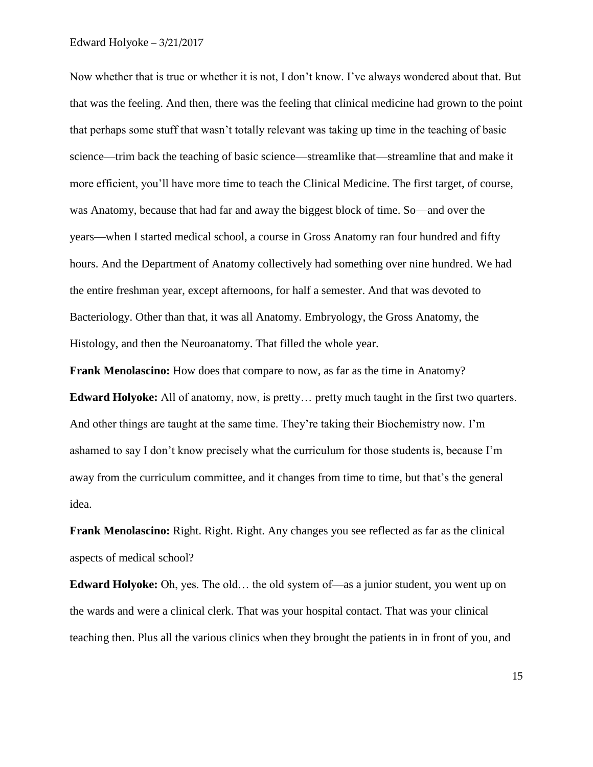Now whether that is true or whether it is not, I don't know. I've always wondered about that. But that was the feeling. And then, there was the feeling that clinical medicine had grown to the point that perhaps some stuff that wasn't totally relevant was taking up time in the teaching of basic science—trim back the teaching of basic science—streamlike that—streamline that and make it more efficient, you'll have more time to teach the Clinical Medicine. The first target, of course, was Anatomy, because that had far and away the biggest block of time. So—and over the years—when I started medical school, a course in Gross Anatomy ran four hundred and fifty hours. And the Department of Anatomy collectively had something over nine hundred. We had the entire freshman year, except afternoons, for half a semester. And that was devoted to Bacteriology. Other than that, it was all Anatomy. Embryology, the Gross Anatomy, the Histology, and then the Neuroanatomy. That filled the whole year.

**Frank Menolascino:** How does that compare to now, as far as the time in Anatomy? **Edward Holyoke:** All of anatomy, now, is pretty… pretty much taught in the first two quarters. And other things are taught at the same time. They're taking their Biochemistry now. I'm ashamed to say I don't know precisely what the curriculum for those students is, because I'm away from the curriculum committee, and it changes from time to time, but that's the general idea.

**Frank Menolascino:** Right. Right. Right. Any changes you see reflected as far as the clinical aspects of medical school?

**Edward Holyoke:** Oh, yes. The old... the old system of—as a junior student, you went up on the wards and were a clinical clerk. That was your hospital contact. That was your clinical teaching then. Plus all the various clinics when they brought the patients in in front of you, and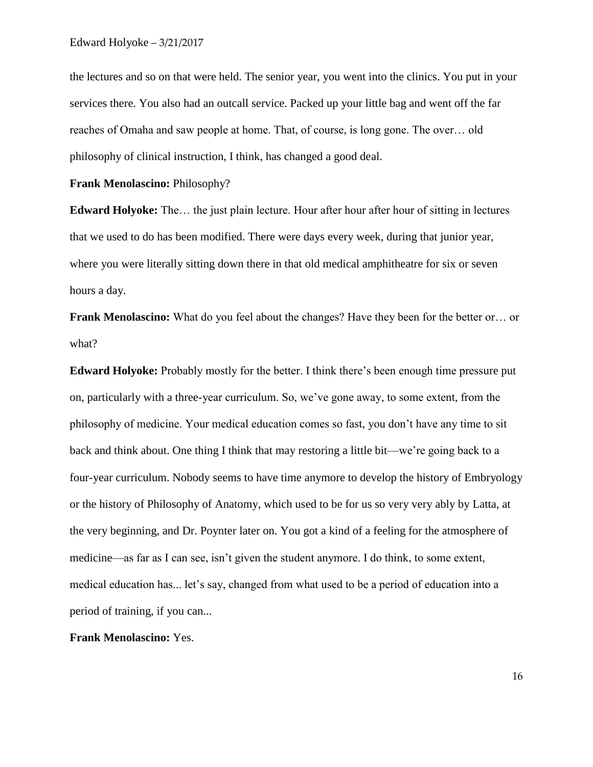the lectures and so on that were held. The senior year, you went into the clinics. You put in your services there. You also had an outcall service. Packed up your little bag and went off the far reaches of Omaha and saw people at home. That, of course, is long gone. The over… old philosophy of clinical instruction, I think, has changed a good deal.

**Frank Menolascino:** Philosophy?

**Edward Holyoke:** The… the just plain lecture. Hour after hour after hour of sitting in lectures that we used to do has been modified. There were days every week, during that junior year, where you were literally sitting down there in that old medical amphitheatre for six or seven hours a day.

**Frank Menolascino:** What do you feel about the changes? Have they been for the better or... or what?

**Edward Holyoke:** Probably mostly for the better. I think there's been enough time pressure put on, particularly with a three-year curriculum. So, we've gone away, to some extent, from the philosophy of medicine. Your medical education comes so fast, you don't have any time to sit back and think about. One thing I think that may restoring a little bit—we're going back to a four-year curriculum. Nobody seems to have time anymore to develop the history of Embryology or the history of Philosophy of Anatomy, which used to be for us so very very ably by Latta, at the very beginning, and Dr. Poynter later on. You got a kind of a feeling for the atmosphere of medicine—as far as I can see, isn't given the student anymore. I do think, to some extent, medical education has... let's say, changed from what used to be a period of education into a period of training, if you can...

**Frank Menolascino:** Yes.